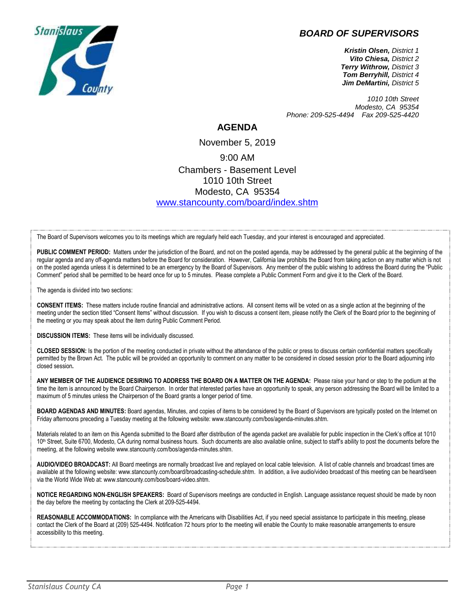## *BOARD OF SUPERVISORS*



*Kristin Olsen, District 1 Vito Chiesa, District 2 Terry Withrow, District 3 Tom Berryhill, District 4 Jim DeMartini, District 5*

*1010 10th Street Modesto, CA 95354 Phone: 209-525-4494 Fax 209-525-4420*

## **AGENDA**

November 5, 2019 9:00 AM Chambers - Basement Level 1010 10th Street Modesto, CA 95354 [www.stancounty.com/board/index.shtm](http://www.stancounty.com/board/index.shtm)

The Board of Supervisors welcomes you to its meetings which are regularly held each Tuesday, and your interest is encouraged and appreciated.

PUBLIC COMMENT PERIOD: Matters under the jurisdiction of the Board, and not on the posted agenda, may be addressed by the general public at the beginning of the regular agenda and any off-agenda matters before the Board for consideration. However, California law prohibits the Board from taking action on any matter which is not on the posted agenda unless it is determined to be an emergency by the Board of Supervisors. Any member of the public wishing to address the Board during the "Public Comment" period shall be permitted to be heard once for up to 5 minutes. Please complete a Public Comment Form and give it to the Clerk of the Board.

The agenda is divided into two sections:

**CONSENT ITEMS:** These matters include routine financial and administrative actions. All consent items will be voted on as a single action at the beginning of the meeting under the section titled "Consent Items" without discussion. If you wish to discuss a consent item, please notify the Clerk of the Board prior to the beginning of the meeting or you may speak about the item during Public Comment Period.

**DISCUSSION ITEMS:** These items will be individually discussed.

**CLOSED SESSION:** Is the portion of the meeting conducted in private without the attendance of the public or press to discuss certain confidential matters specifically permitted by the Brown Act. The public will be provided an opportunity to comment on any matter to be considered in closed session prior to the Board adjourning into closed session**.**

**ANY MEMBER OF THE AUDIENCE DESIRING TO ADDRESS THE BOARD ON A MATTER ON THE AGENDA:** Please raise your hand or step to the podium at the time the item is announced by the Board Chairperson. In order that interested parties have an opportunity to speak, any person addressing the Board will be limited to a maximum of 5 minutes unless the Chairperson of the Board grants a longer period of time.

**BOARD AGENDAS AND MINUTES:** Board agendas, Minutes, and copies of items to be considered by the Board of Supervisors are typically posted on the Internet on Friday afternoons preceding a Tuesday meeting at the following website: www.stancounty.com/bos/agenda-minutes.shtm.

Materials related to an item on this Agenda submitted to the Board after distribution of the agenda packet are available for public inspection in the Clerk's office at 1010 10<sup>th</sup> Street, Suite 6700, Modesto, CA during normal business hours. Such documents are also available online, subject to staff's ability to post the documents before the meeting, at the following website www.stancounty.com/bos/agenda-minutes.shtm.

**AUDIO/VIDEO BROADCAST:** All Board meetings are normally broadcast live and replayed on local cable television. A list of cable channels and broadcast times are available at the following website: www.stancounty.com/board/broadcasting-schedule.shtm. In addition, a live audio/video broadcast of this meeting can be heard/seen via the World Wide Web at: www.stancounty.com/bos/board-video.shtm.

**NOTICE REGARDING NON-ENGLISH SPEAKERS:** Board of Supervisors meetings are conducted in English. Language assistance request should be made by noon the day before the meeting by contacting the Clerk at 209-525-4494.

REASONABLE ACCOMMODATIONS: In compliance with the Americans with Disabilities Act, if you need special assistance to participate in this meeting, please contact the Clerk of the Board at (209) 525-4494. Notification 72 hours prior to the meeting will enable the County to make reasonable arrangements to ensure accessibility to this meeting.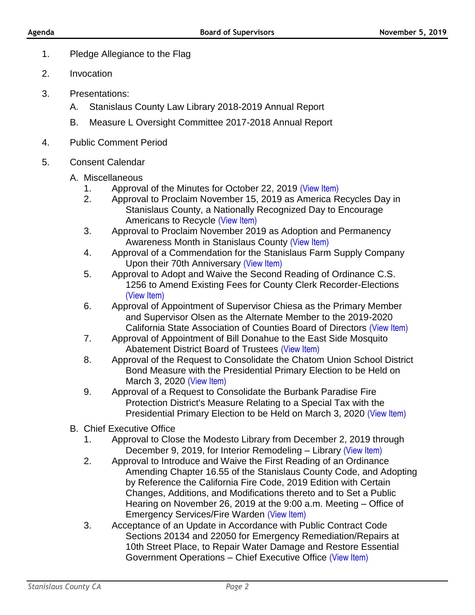- 1. Pledge Allegiance to the Flag
- 2. Invocation
- 3. Presentations:
	- A. Stanislaus County Law Library 2018-2019 Annual Report
	- B. Measure L Oversight Committee 2017-2018 Annual Report
- 4. Public Comment Period
- 5. Consent Calendar
	- A. Miscellaneous
		- 1. Approval of the Minutes for October 22, 2019 [\(View Item\)](http://www.stancounty.com/bos/minutes/2019/min10-22-19.pdf)
		- 2. Approval to Proclaim November 15, 2019 as America Recycles Day in Stanislaus County, a Nationally Recognized Day to Encourage Americans to Recycle [\(View Item\)](http://www.stancounty.com/bos/agenda/2019/20191105/A02.pdf)
		- 3. Approval to Proclaim November 2019 as Adoption and Permanency Awareness Month in Stanislaus County [\(View Item\)](http://www.stancounty.com/bos/agenda/2019/20191105/A03.pdf)
		- 4. Approval of a Commendation for the Stanislaus Farm Supply Company Upon their 70th Anniversary [\(View Item\)](http://www.stancounty.com/bos/agenda/2019/20191105/A04.pdf)
		- 5. Approval to Adopt and Waive the Second Reading of Ordinance C.S. 1256 to Amend Existing Fees for County Clerk Recorder-Elections [\(View Item\)](http://www.stancounty.com/bos/agenda/2019/20191105/A05.pdf)
		- 6. Approval of Appointment of Supervisor Chiesa as the Primary Member and Supervisor Olsen as the Alternate Member to the 2019-2020 California State Association of Counties Board of Directors [\(View Item\)](http://www.stancounty.com/bos/agenda/2019/20191105/A06.pdf)
		- 7. Approval of Appointment of Bill Donahue to the East Side Mosquito Abatement District Board of Trustees [\(View Item\)](http://www.stancounty.com/bos/agenda/2019/20191105/A07.pdf)
		- 8. Approval of the Request to Consolidate the Chatom Union School District Bond Measure with the Presidential Primary Election to be Held on March 3, 2020 [\(View Item\)](http://www.stancounty.com/bos/agenda/2019/20191105/A08.pdf)
		- 9. Approval of a Request to Consolidate the Burbank Paradise Fire Protection District's Measure Relating to a Special Tax with the Presidential Primary Election to be Held on March 3, 2020 [\(View Item\)](http://www.stancounty.com/bos/agenda/2019/20191105/A09.pdf)
	- B. Chief Executive Office
		- 1. Approval to Close the Modesto Library from December 2, 2019 through December 9, 2019, for Interior Remodeling – Library [\(View Item\)](http://www.stancounty.com/bos/agenda/2019/20191105/B01.pdf)
		- 2. Approval to Introduce and Waive the First Reading of an Ordinance Amending Chapter 16.55 of the Stanislaus County Code, and Adopting by Reference the California Fire Code, 2019 Edition with Certain Changes, Additions, and Modifications thereto and to Set a Public Hearing on November 26, 2019 at the 9:00 a.m. Meeting – Office of Emergency Services/Fire Warden [\(View Item\)](http://www.stancounty.com/bos/agenda/2019/20191105/B02.pdf)
		- 3. Acceptance of an Update in Accordance with Public Contract Code Sections 20134 and 22050 for Emergency Remediation/Repairs at 10th Street Place, to Repair Water Damage and Restore Essential Government Operations – Chief Executive Office [\(View Item\)](http://www.stancounty.com/bos/agenda/2019/20191105/B03.pdf)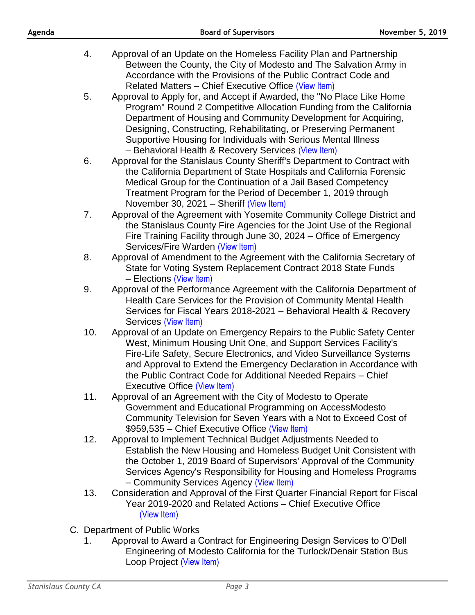| Agenda |     | <b>Board of Supervisors</b><br><b>November 5, 2019</b>                                                                                                                                                                                                                                                                                                                                                       |  |
|--------|-----|--------------------------------------------------------------------------------------------------------------------------------------------------------------------------------------------------------------------------------------------------------------------------------------------------------------------------------------------------------------------------------------------------------------|--|
|        | 4.  | Approval of an Update on the Homeless Facility Plan and Partnership<br>Between the County, the City of Modesto and The Salvation Army in                                                                                                                                                                                                                                                                     |  |
|        |     | Accordance with the Provisions of the Public Contract Code and<br>Related Matters - Chief Executive Office (View Item)                                                                                                                                                                                                                                                                                       |  |
|        | 5.  | Approval to Apply for, and Accept if Awarded, the "No Place Like Home"<br>Program" Round 2 Competitive Allocation Funding from the California<br>Department of Housing and Community Development for Acquiring,<br>Designing, Constructing, Rehabilitating, or Preserving Permanent<br>Supportive Housing for Individuals with Serious Mental Illness<br>- Behavioral Health & Recovery Services (View Item) |  |
|        | 6.  | Approval for the Stanislaus County Sheriff's Department to Contract with<br>the California Department of State Hospitals and California Forensic<br>Medical Group for the Continuation of a Jail Based Competency<br>Treatment Program for the Period of December 1, 2019 through<br>November 30, 2021 - Sheriff (View Item)                                                                                 |  |
|        | 7.  | Approval of the Agreement with Yosemite Community College District and<br>the Stanislaus County Fire Agencies for the Joint Use of the Regional<br>Fire Training Facility through June 30, 2024 – Office of Emergency<br>Services/Fire Warden (View Item)                                                                                                                                                    |  |
|        | 8.  | Approval of Amendment to the Agreement with the California Secretary of<br>State for Voting System Replacement Contract 2018 State Funds<br>- Elections (View Item)                                                                                                                                                                                                                                          |  |
|        | 9.  | Approval of the Performance Agreement with the California Department of<br>Health Care Services for the Provision of Community Mental Health<br>Services for Fiscal Years 2018-2021 – Behavioral Health & Recovery<br>Services (View Item)                                                                                                                                                                   |  |
|        | 10. | Approval of an Update on Emergency Repairs to the Public Safety Center<br>West, Minimum Housing Unit One, and Support Services Facility's<br>Fire-Life Safety, Secure Electronics, and Video Surveillance Systems<br>and Approval to Extend the Emergency Declaration in Accordance with<br>the Public Contract Code for Additional Needed Repairs - Chief<br>Executive Office (View Item)                   |  |
|        | 11. | Approval of an Agreement with the City of Modesto to Operate<br>Government and Educational Programming on AccessModesto<br>Community Television for Seven Years with a Not to Exceed Cost of<br>\$959,535 - Chief Executive Office (View Item)                                                                                                                                                               |  |
|        | 12. | Approval to Implement Technical Budget Adjustments Needed to<br>Establish the New Housing and Homeless Budget Unit Consistent with<br>the October 1, 2019 Board of Supervisors' Approval of the Community<br>Services Agency's Responsibility for Housing and Homeless Programs<br>- Community Services Agency (View Item)                                                                                   |  |
|        | 13. | Consideration and Approval of the First Quarter Financial Report for Fiscal<br>Year 2019-2020 and Related Actions - Chief Executive Office<br>(View Item)                                                                                                                                                                                                                                                    |  |
|        |     | C. Department of Public Works                                                                                                                                                                                                                                                                                                                                                                                |  |

1. Approval to Award a Contract for Engineering Design Services to O'Dell Engineering of Modesto California for the Turlock/Denair Station Bus Loop Project [\(View Item\)](http://www.stancounty.com/bos/agenda/2019/20191105/C01.pdf)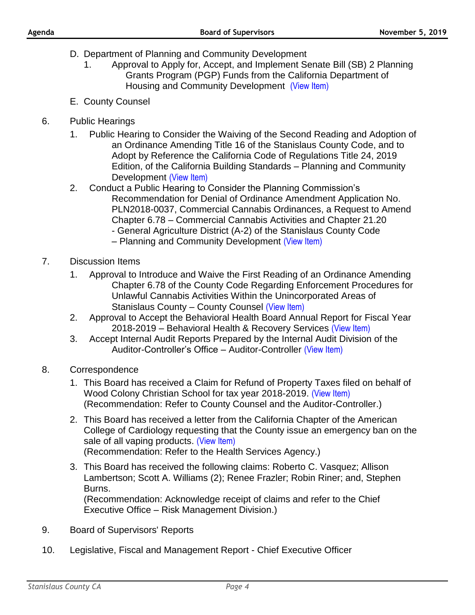- D. Department of Planning and Community Development
	- 1. Approval to Apply for, Accept, and Implement Senate Bill (SB) 2 Planning Grants Program (PGP) Funds from the California Department of Housing and Community Development [\(View Item\)](http://www.stancounty.com/bos/agenda/2019/20191105/D01.pdf)
- E. County Counsel
- 6. Public Hearings
	- 1. Public Hearing to Consider the Waiving of the Second Reading and Adoption of an Ordinance Amending Title 16 of the Stanislaus County Code, and to Adopt by Reference the California Code of Regulations Title 24, 2019 Edition, of the California Building Standards – Planning and Community Development [\(View Item\)](http://www.stancounty.com/bos/agenda/2019/20191105/PH01.pdf)
	- 2. Conduct a Public Hearing to Consider the Planning Commission's Recommendation for Denial of Ordinance Amendment Application No. PLN2018-0037, Commercial Cannabis Ordinances, a Request to Amend Chapter 6.78 – Commercial Cannabis Activities and Chapter 21.20 - General Agriculture District (A-2) of the Stanislaus County Code – Planning and Community Development [\(View Item\)](http://www.stancounty.com/bos/agenda/2019/20191105/PH02.pdf)
- 7. Discussion Items
	- 1. Approval to Introduce and Waive the First Reading of an Ordinance Amending Chapter 6.78 of the County Code Regarding Enforcement Procedures for Unlawful Cannabis Activities Within the Unincorporated Areas of Stanislaus County – County Counsel [\(View Item\)](http://www.stancounty.com/bos/agenda/2019/20191105/DIS01.pdf)
	- 2. Approval to Accept the Behavioral Health Board Annual Report for Fiscal Year 2018-2019 – Behavioral Health & Recovery Services [\(View Item\)](http://www.stancounty.com/bos/agenda/2019/20191105/DIS02.pdf)
	- 3. Accept Internal Audit Reports Prepared by the Internal Audit Division of the Auditor-Controller's Office – Auditor-Controller [\(View Item\)](http://www.stancounty.com/bos/agenda/2019/20191105/DIS03.pdf)
- 8. Correspondence
	- 1. This Board has received a Claim for Refund of Property Taxes filed on behalf of Wood Colony Christian School for tax year 2018-2019. [\(View Item\)](http://www.stancounty.com/bos/agenda/2019/20191105/Corr01.pdf) (Recommendation: Refer to County Counsel and the Auditor-Controller.)
	- 2. This Board has received a letter from the California Chapter of the American College of Cardiology requesting that the County issue an emergency ban on the sale of all vaping products. [\(View Item\)](http://www.stancounty.com/bos/agenda/2019/20191105/Corr02.pdf) (Recommendation: Refer to the Health Services Agency.)
	- 3. This Board has received the following claims: Roberto C. Vasquez; Allison Lambertson; Scott A. Williams (2); Renee Frazler; Robin Riner; and, Stephen Burns. (Recommendation: Acknowledge receipt of claims and refer to the Chief Executive Office – Risk Management Division.)
- 9. Board of Supervisors' Reports
- 10. Legislative, Fiscal and Management Report Chief Executive Officer